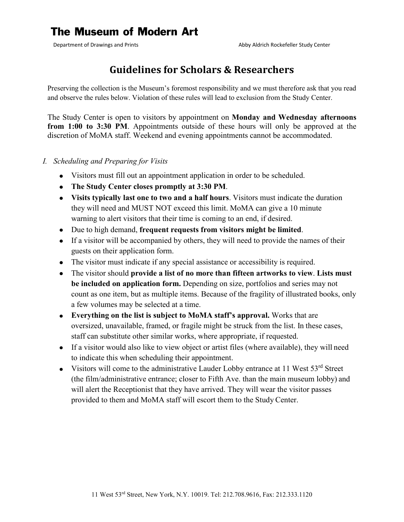## **The Museum of Modern Art**

## **Guidelines for Scholars & Researchers**

Preserving the collection is the Museum's foremost responsibility and we must therefore ask that you read and observe the rules below. Violation of these rules will lead to exclusion from the Study Center.

The Study Center is open to visitors by appointment on **Monday and Wednesday afternoons from 1:00 to 3:30 PM**. Appointments outside of these hours will only be approved at the discretion of MoMA staff. Weekend and evening appointments cannot be accommodated.

- *I. Scheduling and Preparing for Visits*
	- Visitors must fill out an appointment application in order to be scheduled.
	- **The Study Center closes promptly at 3:30 PM**.
	- **Visits typically last one to two and a half hours**. Visitors must indicate the duration they will need and MUST NOT exceed this limit. MoMA can give a 10 minute warning to alert visitors that their time is coming to an end, if desired.
	- Due to high demand, **frequent requests from visitors might be limited**.
	- If a visitor will be accompanied by others, they will need to provide the names of their guests on their application form.
	- The visitor must indicate if any special assistance or accessibility is required.
	- The visitor should **provide a list of no more than fifteen artworks to view**. **Lists must**   $\bullet$ **be included on application form.** Depending on size, portfolios and series may not count as one item, but as multiple items. Because of the fragility of illustrated books, only a few volumes may be selected at a time.
	- **Everything on the list is subject to MoMA staff's approval.** Works that are oversized, unavailable, framed, or fragile might be struck from the list. In these cases, staff can substitute other similar works, where appropriate, if requested.
	- If a visitor would also like to view object or artist files (where available), they will need to indicate this when scheduling their appointment.
	- Visitors will come to the administrative Lauder Lobby entrance at 11 West  $53<sup>rd</sup>$  Street (the film/administrative entrance; closer to Fifth Ave. than the main museum lobby) and will alert the Receptionist that they have arrived. They will wear the visitor passes provided to them and MoMA staff will escort them to the Study Center.